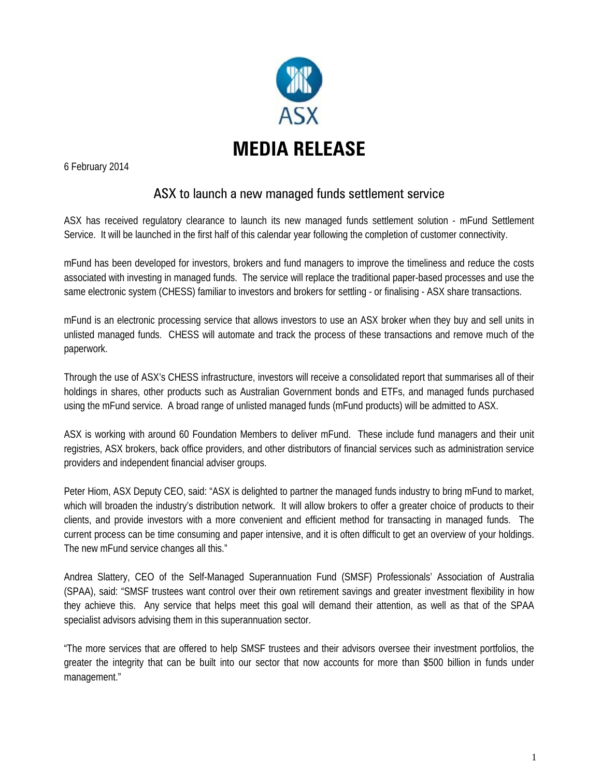

6 February 2014

## ASX to launch a new managed funds settlement service

ASX has received regulatory clearance to launch its new managed funds settlement solution - mFund Settlement Service. It will be launched in the first half of this calendar year following the completion of customer connectivity.

mFund has been developed for investors, brokers and fund managers to improve the timeliness and reduce the costs associated with investing in managed funds. The service will replace the traditional paper-based processes and use the same electronic system (CHESS) familiar to investors and brokers for settling - or finalising - ASX share transactions.

mFund is an electronic processing service that allows investors to use an ASX broker when they buy and sell units in unlisted managed funds. CHESS will automate and track the process of these transactions and remove much of the paperwork.

Through the use of ASX's CHESS infrastructure, investors will receive a consolidated report that summarises all of their holdings in shares, other products such as Australian Government bonds and ETFs, and managed funds purchased using the mFund service. A broad range of unlisted managed funds (mFund products) will be admitted to ASX.

ASX is working with around 60 Foundation Members to deliver mFund. These include fund managers and their unit registries, ASX brokers, back office providers, and other distributors of financial services such as administration service providers and independent financial adviser groups.

Peter Hiom, ASX Deputy CEO, said: "ASX is delighted to partner the managed funds industry to bring mFund to market, which will broaden the industry's distribution network. It will allow brokers to offer a greater choice of products to their clients, and provide investors with a more convenient and efficient method for transacting in managed funds. The current process can be time consuming and paper intensive, and it is often difficult to get an overview of your holdings. The new mFund service changes all this."

Andrea Slattery, CEO of the Self-Managed Superannuation Fund (SMSF) Professionals' Association of Australia (SPAA), said: "SMSF trustees want control over their own retirement savings and greater investment flexibility in how they achieve this. Any service that helps meet this goal will demand their attention, as well as that of the SPAA specialist advisors advising them in this superannuation sector.

"The more services that are offered to help SMSF trustees and their advisors oversee their investment portfolios, the greater the integrity that can be built into our sector that now accounts for more than \$500 billion in funds under management."